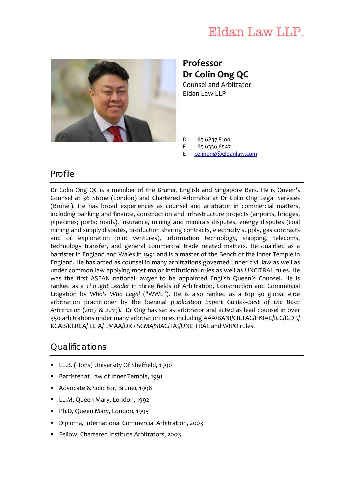# Eldan Law LLP.



**Professor Dr Colin Ong QC**

Counsel and Arbitrator Eldan Law LLP

- D +65 6837 8100
- F +65 6336 6547
- E [colinong@eldanlaw.com](mailto:colinong@eldanlaw.com)

### Profile

Dr Colin Ong QC is a member of the Brunei, English and Singapore Bars. He is Queen's Counsel at 36 Stone (London) and Chartered Arbitrator at Dr Colin Ong Legal Services (Brunei). He has broad experiences as counsel and arbitrator in commercial matters, including banking and finance, construction and infrastructure projects (airports, bridges, pipe‐lines; ports; roads), insurance, mining and minerals disputes, energy disputes (coal mining and supply disputes, production sharing contracts, electricity supply, gas contracts and oil exploration joint ventures), information technology, shipping, telecoms, technology transfer, and general commercial trade related matters. He qualified as a barrister in England and Wales in 1991 and is a master of the Bench of the Inner Temple in England. He has acted as counsel in many arbitrations governed under civil law as well as under common law applying most major institutional rules as well as UNCITRAL rules. He was the first ASEAN national lawyer to be appointed English Queen's Counsel. He is ranked as a *Thought Leader* in three fields of Arbitration, Construction and Commercial Litigation by *Who's Who Legal* ("WWL"). He is also ranked as a top 30 global elite arbitration practitioner by the biennial *publication Expert Guides–Best of the Best: Arbitration* (2017 & 2019). Dr Ong has sat as arbitrator and acted as lead counsel in over 350 arbitrations under many arbitration rules including AAA/BANI/CIETAC/HKIAC/ICC/ICDR/ KCAB/KLRCA/ LCIA/ LMAA/OIC/ SCMA/SIAC/TAI/UNCITRAL and WIPO rules.

## Qualifications

- **LL.B. (Hons) University Of Sheffield, 1990**
- Barrister at Law of Inner Temple, 1991
- Advocate & Solicitor, Brunei, 1998
- **LL.M, Queen Mary, London, 1992**
- Ph.D, Queen Mary, London, 1995
- Diploma, International Commercial Arbitration, 2003
- **Fellow, Chartered Institute Arbitrators, 2003**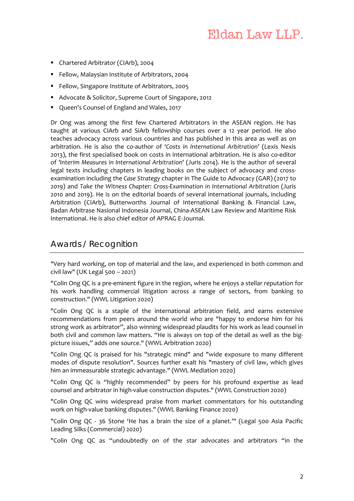- Chartered Arbitrator (CIArb), 2004
- **Fellow, Malaysian Institute of Arbitrators, 2004**
- **Fellow, Singapore Institute of Arbitrators, 2005**
- Advocate & Solicitor, Supreme Court of Singapore, 2012
- **Queen's Counsel of England and Wales, 2017**

Dr Ong was among the first few Chartered Arbitrators in the ASEAN region. He has taught at various CIArb and SiArb fellowship courses over a 12 year period. He also teaches advocacy across various countries and has published in this area as well as on arbitration. He is also the co‐author of '*Costs in International Arbitration*' (Lexis Nexis 2013), the first specialised book on costs in international arbitration. He is also co‐editor of *'Interim Measures in International Arbitration*' (Juris 2014). He is the author of several legal texts including chapters in leading books on the subject of advocacy and crossexamination including the *Case Strategy* chapter in The Guide to Advocacy (GAR) (2017 to 2019) and *Take the Witness Chapter: Cross‐Examination in International Arbitration* (Juris 2010 and 2019). He is on the editorial boards of several international journals, including Arbitration (CIArb), Butterworths Journal of International Banking & Financial Law, Badan Arbitrase Nasional Indonesia Journal, China‐ASEAN Law Review and Maritime Risk International. He is also chief editor of APRAG E‐Journal.

## Awards / Recognition

"Very hard working, on top of material and the law, and experienced in both common and civil law" (UK Legal 500 – 2021)

"Colin Ong QC is a pre‐eminent figure in the region, where he enjoys a stellar reputation for his work handling commercial litigation across a range of sectors, from banking to construction." (WWL Litigation 2020)

"Colin Ong QC is a staple of the international arbitration field, and earns extensive recommendations from peers around the world who are "happy to endorse him for his strong work as arbitrator", also winning widespread plaudits for his work as lead counsel in both civil and common law matters. "He is always on top of the detail as well as the bigpicture issues," adds one source." (WWL Arbitration 2020)

"Colin Ong QC is praised for his "strategic mind" and "wide exposure to many different modes of dispute resolution". Sources further exalt his "mastery of civil law, which gives him an immeasurable strategic advantage." (WWL Mediation 2020)

"Colin Ong QC is "highly recommended" by peers for his profound expertise as lead counsel and arbitrator in high‐value construction disputes." (WWL Construction 2020)

"Colin Ong QC wins widespread praise from market commentators for his outstanding work on high-value banking disputes." (WWL Banking Finance 2020)

"Colin Ong QC - 36 Stone 'He has a brain the size of a planet."" (Legal 500 Asia Pacific Leading Silks (Commercial) 2020)

"Colin Ong QC as "undoubtedly on of the star advocates and arbitrators "in the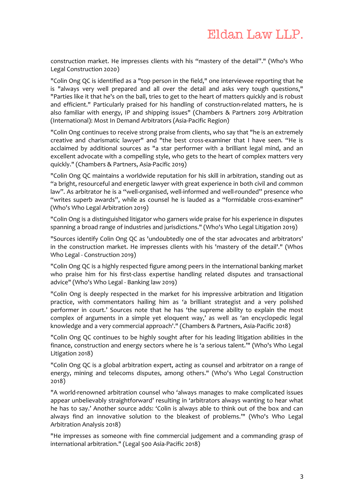construction market. He impresses clients with his "mastery of the detail"." (Who's Who Legal Construction 2020)

"Colin Ong QC is identified as a "top person in the field," one interviewee reporting that he is "always very well prepared and all over the detail and asks very tough questions," "Parties like it that he's on the ball, tries to get to the heart of matters quickly and is robust and efficient." Particularly praised for his handling of construction-related matters, he is also familiar with energy, IP and shipping issues" (Chambers & Partners 2019 Arbitration (International): Most In Demand Arbitrators (Asia‐Pacific Region)

"Colin Ong continues to receive strong praise from clients, who say that "he is an extremely creative and charismatic lawyer" and "the best cross-examiner that I have seen. "He is acclaimed by additional sources as "a star performer with a brilliant legal mind, and an excellent advocate with a compelling style, who gets to the heart of complex matters very quickly." (Chambers & Partners, Asia‐Pacific 2019)

"Colin Ong QC maintains a worldwide reputation for his skill in arbitration, standing out as "a bright, resourceful and energetic lawyer with great experience in both civil and common law". As arbitrator he is a "well-organised, well-informed and well-rounded" presence who "writes superb awards", while as counsel he is lauded as a "formidable cross‐examiner" (Who's Who Legal Arbitration 2019)

"Colin Ong is a distinguished litigator who garners wide praise for his experience in disputes spanning a broad range of industries and jurisdictions." (Who's Who Legal Litigation 2019)

"Sources identify Colin Ong QC as 'undoubtedly one of the star advocates and arbitrators' in the construction market. He impresses clients with his 'mastery of the detail'." (Whos Who Legal - Construction 2019)

"Colin Ong QC is a highly respected figure among peers in the international banking market who praise him for his first-class expertise handling related disputes and transactional advice" (Who's Who Legal ‐ Banking law 2019)

"Colin Ong is deeply respected in the market for his impressive arbitration and litigation practice, with commentators hailing him as 'a brilliant strategist and a very polished performer in court.' Sources note that he has 'the supreme ability to explain the most complex of arguments in a simple yet eloquent way,' as well as 'an encyclopedic legal knowledge and a very commercial approach'." (Chambers & Partners, Asia‐Pacific 2018)

"Colin Ong QC continues to be highly sought after for his leading litigation abilities in the finance, construction and energy sectors where he is 'a serious talent.'" (Who's Who Legal Litigation 2018)

"Colin Ong QC is a global arbitration expert, acting as counsel and arbitrator on a range of energy, mining and telecoms disputes, among others." (Who's Who Legal Construction 2018)

"A world-renowned arbitration counsel who 'always manages to make complicated issues appear unbelievably straightforward' resulting in 'arbitrators always wanting to hear what he has to say.' Another source adds: 'Colin is always able to think out of the box and can always find an innovative solution to the bleakest of problems.'" (Who's Who Legal Arbitration Analysis 2018)

"He impresses as someone with fine commercial judgement and a commanding grasp of international arbitration." (Legal 500 Asia‐Pacific 2018)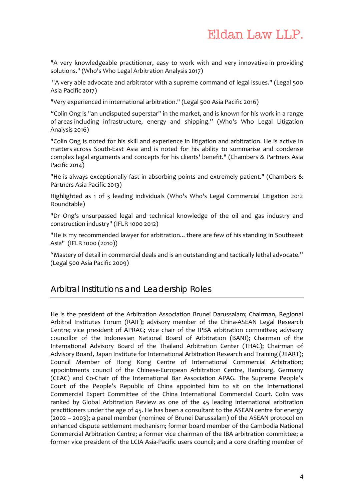"A very knowledgeable practitioner, easy to work with and very innovative in providing solutions." (Who's Who Legal Arbitration Analysis 2017)

"A very able advocate and arbitrator with a supreme command of legal issues." (Legal 500 Asia Pacific 2017)

"Very experienced in international arbitration." (Legal 500 Asia Pacific 2016)

"Colin Ong is "an undisputed superstar" in the market, and is known for his work in a range of areas including infrastructure, energy and shipping." (Who's Who Legal Litigation Analysis 2016)

"Colin Ong is noted for his skill and experience in litigation and arbitration. He is active in matters across South‐East Asia and is noted for his ability to summarise and condense complex legal arguments and concepts for his clients' benefit." (Chambers & Partners Asia Pacific 2014)

"He is always exceptionally fast in absorbing points and extremely patient." (Chambers & Partners Asia Pacific 2013)

Highlighted as 1 of 3 leading individuals (Who's Who's Legal Commercial Litigation 2012 Roundtable)

"Dr Ong's unsurpassed legal and technical knowledge of the oil and gas industry and construction industry" (IFLR 1000 2012)

"He is my recommended lawyer for arbitration... there are few of his standing in Southeast Asia" (IFLR 1000 (2010))

"Mastery of detail in commercial deals and is an outstanding and tactically lethal advocate." (Legal 500 Asia Pacific 2009)

#### Arbitral Institutions and Leadership Roles

He is the president of the Arbitration Association Brunei Darussalam; Chairman, Regional Arbitral Institutes Forum (RAIF); advisory member of the China‐ASEAN Legal Research Centre; vice president of APRAG; vice chair of the IPBA arbitration committee; advisory councillor of the Indonesian National Board of Arbitration (BANI); Chairman of the International Advisory Board of the Thailand Arbitration Center (THAC); Chairman of Advisory Board, Japan Institute for International Arbitration Research and Training (JIIART); Council Member of Hong Kong Centre of International Commercial Arbitration; appointments council of the Chinese‐European Arbitration Centre, Hamburg, Germany (CEAC) and Co‐Chair of the International Bar Association APAG. The Supreme People's Court of the People's Republic of China appointed him to sit on the International Commercial Expert Committee of the China International Commercial Court. Colin was ranked by Global Arbitration Review as one of the 45 leading international arbitration practitioners under the age of 45. He has been a consultant to the ASEAN centre for energy (2002 – 2003); a panel member (nominee of Brunei Darussalam) of the ASEAN protocol on enhanced dispute settlement mechanism; former board member of the Cambodia National Commercial Arbitration Centre; a former vice chairman of the IBA arbitration committee; a former vice president of the LCIA Asia-Pacific users council; and a core drafting member of